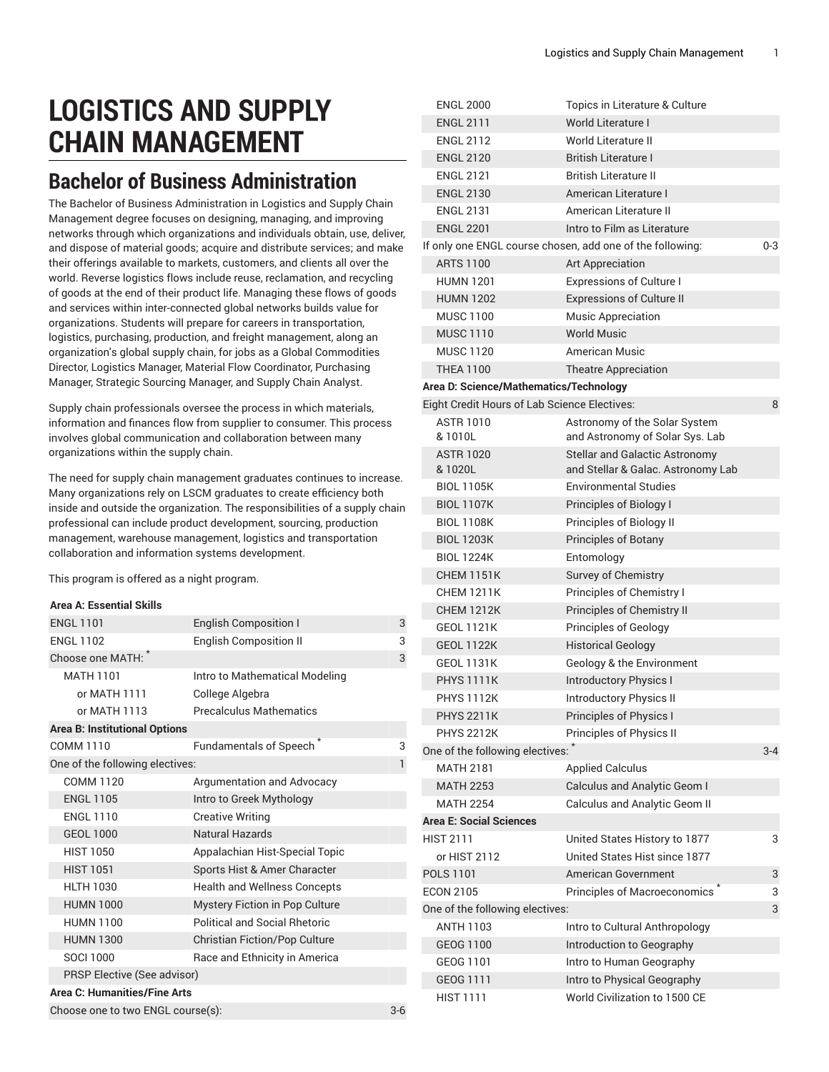# **LOGISTICS AND SUPPLY CHAIN MANAGEMENT**

# **Bachelor of Business Administration**

The Bachelor of Business Administration in Logistics and Supply Chain Management degree focuses on designing, managing, and improving networks through which organizations and individuals obtain, use, deliver, and dispose of material goods; acquire and distribute services; and make their offerings available to markets, customers, and clients all over the world. Reverse logistics flows include reuse, reclamation, and recycling of goods at the end of their product life. Managing these flows of goods and services within inter-connected global networks builds value for organizations. Students will prepare for careers in transportation, logistics, purchasing, production, and freight management, along an organization's global supply chain, for jobs as a Global Commodities Director, Logistics Manager, Material Flow Coordinator, Purchasing Manager, Strategic Sourcing Manager, and Supply Chain Analyst.

Supply chain professionals oversee the process in which materials, information and finances flow from supplier to consumer. This process involves global communication and collaboration between many organizations within the supply chain.

The need for supply chain management graduates continues to increase. Many organizations rely on LSCM graduates to create efficiency both inside and outside the organization. The responsibilities of a supply chain professional can include product development, sourcing, production management, warehouse management, logistics and transportation collaboration and information systems development.

This program is offered as a night program.

# **Area A: Essential Skills**

| <b>ENGL 1101</b>                     | <b>English Composition I</b>         | 3            |
|--------------------------------------|--------------------------------------|--------------|
| <b>ENGL 1102</b>                     | <b>English Composition II</b>        | 3            |
| Choose one MATH:                     |                                      | 3            |
| <b>MATH 1101</b>                     | Intro to Mathematical Modeling       |              |
| or MATH 1111                         | College Algebra                      |              |
| or MATH 1113                         | <b>Precalculus Mathematics</b>       |              |
| <b>Area B: Institutional Options</b> |                                      |              |
| COMM 1110                            | Fundamentals of Speech               | 3            |
| One of the following electives:      |                                      | $\mathbf{1}$ |
| COMM 1120                            | Argumentation and Advocacy           |              |
| <b>ENGL 1105</b>                     | Intro to Greek Mythology             |              |
| <b>ENGL 1110</b>                     | <b>Creative Writing</b>              |              |
| <b>GEOL 1000</b>                     | <b>Natural Hazards</b>               |              |
| <b>HIST 1050</b>                     | Appalachian Hist-Special Topic       |              |
| <b>HIST 1051</b>                     | Sports Hist & Amer Character         |              |
| <b>HLTH 1030</b>                     | <b>Health and Wellness Concepts</b>  |              |
| <b>HUMN 1000</b>                     | Mystery Fiction in Pop Culture       |              |
| <b>HUMN 1100</b>                     | <b>Political and Social Rhetoric</b> |              |
| <b>HUMN 1300</b>                     | <b>Christian Fiction/Pop Culture</b> |              |
| SOCI 1000                            | Race and Ethnicity in America        |              |
| PRSP Elective (See advisor)          |                                      |              |
| Area C: Humanities/Fine Arts         |                                      |              |
| Choose one to two ENGL course(s):    |                                      |              |

| <b>ENGL 2000</b>               |                                        | Topics in Literature & Culture                            |         |
|--------------------------------|----------------------------------------|-----------------------------------------------------------|---------|
| <b>ENGL 2111</b>               |                                        | <b>World Literature I</b>                                 |         |
| <b>ENGL 2112</b>               |                                        | World Literature II                                       |         |
| <b>ENGL 2120</b>               |                                        | British Literature I                                      |         |
| <b>ENGL 2121</b>               |                                        | <b>British Literature II</b>                              |         |
| <b>ENGL 2130</b>               |                                        | American Literature I                                     |         |
| <b>ENGL 2131</b>               |                                        | American Literature II                                    |         |
| <b>ENGL 2201</b>               |                                        | Intro to Film as Literature                               |         |
|                                |                                        | If only one ENGL course chosen, add one of the following: | $0 - 3$ |
| <b>ARTS 1100</b>               |                                        | Art Appreciation                                          |         |
| <b>HUMN 1201</b>               |                                        | <b>Expressions of Culture I</b>                           |         |
| <b>HUMN 1202</b>               |                                        | <b>Expressions of Culture II</b>                          |         |
| <b>MUSC 1100</b>               |                                        | <b>Music Appreciation</b>                                 |         |
| <b>MUSC 1110</b>               |                                        | <b>World Music</b>                                        |         |
| <b>MUSC 1120</b>               |                                        | American Music                                            |         |
| <b>THEA 1100</b>               |                                        | <b>Theatre Appreciation</b>                               |         |
|                                | Area D: Science/Mathematics/Technology |                                                           |         |
|                                |                                        | Eight Credit Hours of Lab Science Electives:              | 8       |
| <b>ASTR 1010</b>               |                                        | Astronomy of the Solar System                             |         |
| &1010L                         |                                        | and Astronomy of Solar Sys. Lab                           |         |
| <b>ASTR 1020</b>               |                                        | <b>Stellar and Galactic Astronomy</b>                     |         |
| & 1020L                        |                                        | and Stellar & Galac. Astronomy Lab                        |         |
| <b>BIOL 1105K</b>              |                                        | Environmental Studies                                     |         |
| <b>BIOL 1107K</b>              |                                        | Principles of Biology I                                   |         |
| <b>BIOL 1108K</b>              |                                        | Principles of Biology II                                  |         |
| <b>BIOL 1203K</b>              |                                        | <b>Principles of Botany</b>                               |         |
| <b>BIOL 1224K</b>              |                                        | Entomology                                                |         |
| <b>CHEM 1151K</b>              |                                        | Survey of Chemistry                                       |         |
| <b>CHEM 1211K</b>              |                                        | Principles of Chemistry I                                 |         |
| <b>CHEM 1212K</b>              |                                        | Principles of Chemistry II                                |         |
| <b>GEOL 1121K</b>              |                                        | <b>Principles of Geology</b>                              |         |
| <b>GEOL 1122K</b>              |                                        | <b>Historical Geology</b>                                 |         |
| <b>GEOL 1131K</b>              |                                        | Geology & the Environment                                 |         |
| <b>PHYS 1111K</b>              |                                        | <b>Introductory Physics I</b>                             |         |
| <b>PHYS 1112K</b>              |                                        | <b>Introductory Physics II</b>                            |         |
| <b>PHYS 2211K</b>              |                                        | Principles of Physics I                                   |         |
| <b>PHYS 2212K</b>              |                                        | Principles of Physics II                                  |         |
|                                | One of the following electives:        |                                                           | $3 - 4$ |
| <b>MATH 2181</b>               |                                        | <b>Applied Calculus</b>                                   |         |
| <b>MATH 2253</b>               |                                        | Calculus and Analytic Geom I                              |         |
| <b>MATH 2254</b>               |                                        | Calculus and Analytic Geom II                             |         |
| <b>Area E: Social Sciences</b> |                                        |                                                           |         |
| <b>HIST 2111</b>               |                                        | United States History to 1877                             | 3       |
| or HIST 2112                   |                                        | United States Hist since 1877                             |         |
| <b>POLS 1101</b>               |                                        | American Government                                       | 3       |
| <b>ECON 2105</b>               |                                        | Principles of Macroeconomics                              | 3       |
|                                | One of the following electives:        |                                                           | 3       |
| <b>ANTH 1103</b>               |                                        | Intro to Cultural Anthropology                            |         |
| GEOG 1100                      |                                        | Introduction to Geography                                 |         |
| GEOG 1101                      |                                        | Intro to Human Geography                                  |         |
| GEOG 1111                      |                                        | Intro to Physical Geography                               |         |
| <b>HIST 1111</b>               |                                        | World Civilization to 1500 CE                             |         |
|                                |                                        |                                                           |         |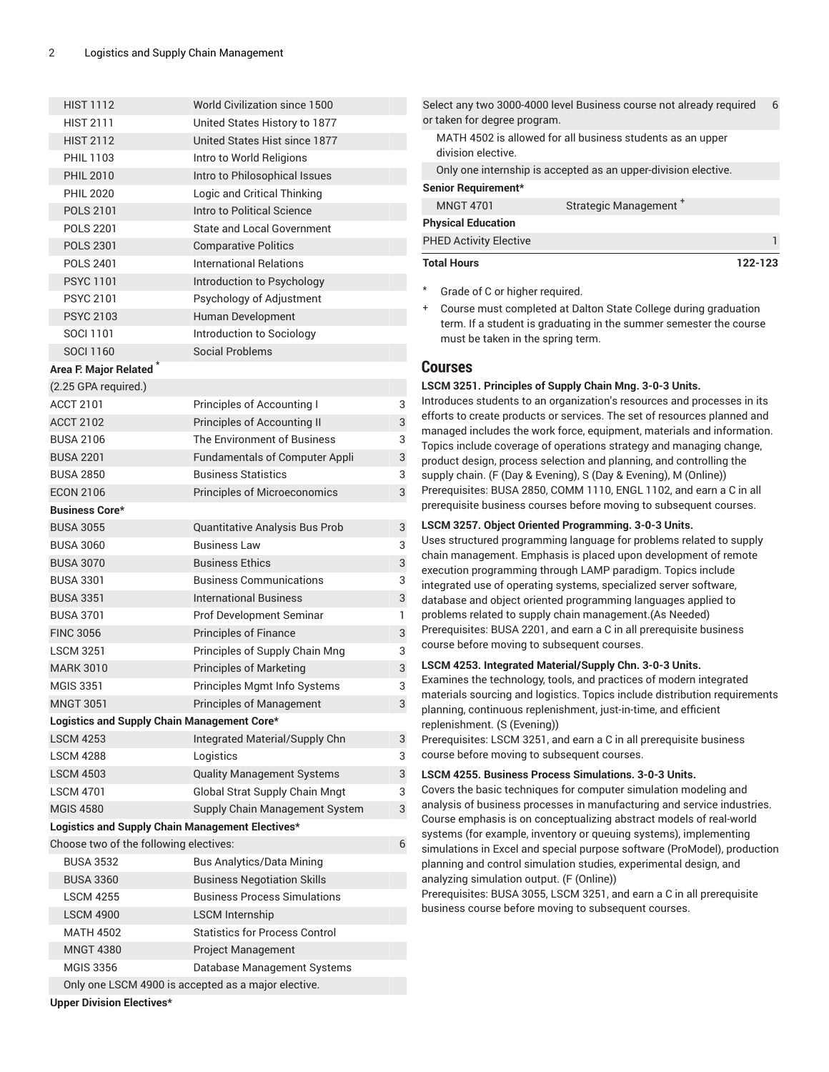| <b>HIST 1112</b>                                 | World Civilization since 1500                       |   |
|--------------------------------------------------|-----------------------------------------------------|---|
| <b>HIST 2111</b>                                 | United States History to 1877                       |   |
| <b>HIST 2112</b>                                 | United States Hist since 1877                       |   |
| <b>PHIL 1103</b>                                 | Intro to World Religions                            |   |
| <b>PHIL 2010</b>                                 | Intro to Philosophical Issues                       |   |
| <b>PHIL 2020</b>                                 | Logic and Critical Thinking                         |   |
| <b>POLS 2101</b>                                 | Intro to Political Science                          |   |
| <b>POLS 2201</b>                                 | <b>State and Local Government</b>                   |   |
| <b>POLS 2301</b>                                 | <b>Comparative Politics</b>                         |   |
| <b>POLS 2401</b>                                 | <b>International Relations</b>                      |   |
| <b>PSYC 1101</b>                                 | Introduction to Psychology                          |   |
| <b>PSYC 2101</b>                                 | Psychology of Adjustment                            |   |
| <b>PSYC 2103</b>                                 | Human Development                                   |   |
| SOCI 1101                                        | Introduction to Sociology                           |   |
| <b>SOCI 1160</b>                                 | <b>Social Problems</b>                              |   |
| Area F. Major Related <sup>*</sup>               |                                                     |   |
| (2.25 GPA required.)                             |                                                     |   |
| <b>ACCT 2101</b>                                 | Principles of Accounting I                          | 3 |
| <b>ACCT 2102</b>                                 | Principles of Accounting II                         | 3 |
| <b>BUSA 2106</b>                                 | The Environment of Business                         | 3 |
| <b>BUSA 2201</b>                                 | <b>Fundamentals of Computer Appli</b>               | 3 |
| <b>BUSA 2850</b>                                 | <b>Business Statistics</b>                          | 3 |
| <b>ECON 2106</b>                                 | <b>Principles of Microeconomics</b>                 | 3 |
| <b>Business Core*</b>                            |                                                     |   |
| <b>BUSA 3055</b>                                 | Quantitative Analysis Bus Prob                      | 3 |
| <b>BUSA 3060</b>                                 | <b>Business Law</b>                                 | 3 |
| <b>BUSA 3070</b>                                 | <b>Business Ethics</b>                              | 3 |
| <b>BUSA 3301</b>                                 | <b>Business Communications</b>                      | 3 |
| <b>BUSA 3351</b>                                 | <b>International Business</b>                       | 3 |
| <b>BUSA 3701</b>                                 | Prof Development Seminar                            | 1 |
| <b>FINC 3056</b>                                 | <b>Principles of Finance</b>                        | 3 |
| <b>LSCM 3251</b>                                 | Principles of Supply Chain Mng                      | 3 |
| <b>MARK 3010</b>                                 | <b>Principles of Marketing</b>                      | 3 |
| <b>MGIS 3351</b>                                 | Principles Mgmt Info Systems                        | 3 |
| <b>MNGT 3051</b>                                 | <b>Principles of Management</b>                     | 3 |
| Logistics and Supply Chain Management Core*      |                                                     |   |
| <b>LSCM 4253</b>                                 | Integrated Material/Supply Chn                      | 3 |
| <b>LSCM 4288</b>                                 | Logistics                                           | 3 |
| <b>LSCM 4503</b>                                 | <b>Quality Management Systems</b>                   | 3 |
| <b>LSCM 4701</b>                                 | Global Strat Supply Chain Mngt                      | 3 |
| <b>MGIS 4580</b>                                 | Supply Chain Management System                      | 3 |
| Logistics and Supply Chain Management Electives* |                                                     |   |
| Choose two of the following electives:           |                                                     | 6 |
| <b>BUSA 3532</b>                                 | <b>Bus Analytics/Data Mining</b>                    |   |
| <b>BUSA 3360</b>                                 | <b>Business Negotiation Skills</b>                  |   |
| <b>LSCM 4255</b>                                 | <b>Business Process Simulations</b>                 |   |
| <b>LSCM 4900</b>                                 | <b>LSCM Internship</b>                              |   |
| <b>MATH 4502</b>                                 | <b>Statistics for Process Control</b>               |   |
| <b>MNGT 4380</b>                                 | <b>Project Management</b>                           |   |
| <b>MGIS 3356</b>                                 | Database Management Systems                         |   |
|                                                  | Only one LSCM 4900 is accepted as a major elective. |   |

Select any two 3000-4000 level Business course not already required or taken for degree program. 6 MATH 4502 is allowed for all business students as an upper division elective. Only one internship is accepted as an upper-division elective. **Senior Requirement\*** MNGT 4701 Strategic Management<sup>+</sup> **Physical Education** PHED Activity Elective 1 and 200 million 1 and 200 million 1 and 200 million 1 and 200 million 1 and 200 million **Total Hours 122-123**

Grade of C or higher required.

+ Course must completed at Dalton State College during graduation term. If a student is graduating in the summer semester the course must be taken in the spring term.

# **Courses**

# **LSCM 3251. Principles of Supply Chain Mng. 3-0-3 Units.**

Introduces students to an organization's resources and processes in its efforts to create products or services. The set of resources planned and managed includes the work force, equipment, materials and information. Topics include coverage of operations strategy and managing change, product design, process selection and planning, and controlling the supply chain. (F (Day & Evening), S (Day & Evening), M (Online)) Prerequisites: [BUSA 2850](/search/?P=BUSA%202850), [COMM 1110](/search/?P=COMM%201110), [ENGL 1102](/search/?P=ENGL%201102), and earn a C in all prerequisite business courses before moving to subsequent courses.

# **LSCM 3257. Object Oriented Programming. 3-0-3 Units.**

Uses structured programming language for problems related to supply chain management. Emphasis is placed upon development of remote execution programming through LAMP paradigm. Topics include integrated use of operating systems, specialized server software, database and object oriented programming languages applied to problems related to supply chain management.(As Needed) Prerequisites: [BUSA 2201](/search/?P=BUSA%202201), and earn a C in all prerequisite business course before moving to subsequent courses.

# **LSCM 4253. Integrated Material/Supply Chn. 3-0-3 Units.**

Examines the technology, tools, and practices of modern integrated materials sourcing and logistics. Topics include distribution requirements planning, continuous replenishment, just-in-time, and efficient replenishment. (S (Evening))

Prerequisites: [LSCM 3251](/search/?P=LSCM%203251), and earn a C in all prerequisite business course before moving to subsequent courses.

# **LSCM 4255. Business Process Simulations. 3-0-3 Units.**

Covers the basic techniques for computer simulation modeling and analysis of business processes in manufacturing and service industries. Course emphasis is on conceptualizing abstract models of real-world systems (for example, inventory or queuing systems), implementing simulations in Excel and special purpose software (ProModel), production planning and control simulation studies, experimental design, and analyzing simulation output. (F (Online))

Prerequisites: [BUSA 3055](/search/?P=BUSA%203055), [LSCM 3251](/search/?P=LSCM%203251), and earn a C in all prerequisite business course before moving to subsequent courses.

**Upper Division Electives\***